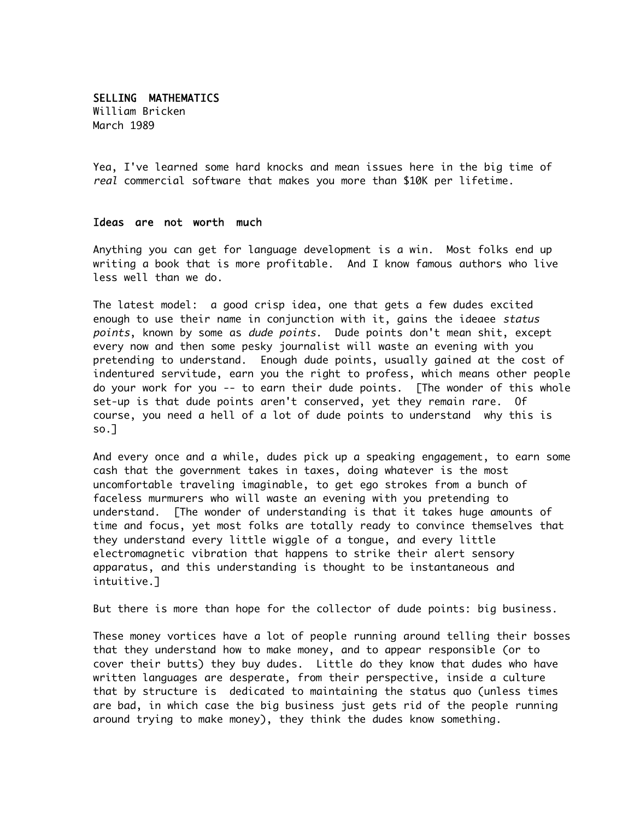## SELLING MATHEMATICS William Bricken March 1989

Yea, I've learned some hard knocks and mean issues here in the big time of real commercial software that makes you more than \$10K per lifetime.

## Ideas are not worth much

Anything you can get for language development is a win. Most folks end up writing a book that is more profitable. And I know famous authors who live less well than we do.

The latest model: a good crisp idea, one that gets a few dudes excited enough to use their name in conjunction with it, gains the ideaee status points, known by some as dude points. Dude points don't mean shit, except every now and then some pesky journalist will waste an evening with you pretending to understand. Enough dude points, usually gained at the cost of indentured servitude, earn you the right to profess, which means other people do your work for you -- to earn their dude points. [The wonder of this whole set-up is that dude points aren't conserved, yet they remain rare. Of course, you need a hell of a lot of dude points to understand why this is so.]

And every once and a while, dudes pick up a speaking engagement, to earn some cash that the government takes in taxes, doing whatever is the most uncomfortable traveling imaginable, to get ego strokes from a bunch of faceless murmurers who will waste an evening with you pretending to understand. [The wonder of understanding is that it takes huge amounts of time and focus, yet most folks are totally ready to convince themselves that they understand every little wiggle of a tongue, and every little electromagnetic vibration that happens to strike their alert sensory apparatus, and this understanding is thought to be instantaneous and intuitive.]

But there is more than hope for the collector of dude points: big business.

These money vortices have a lot of people running around telling their bosses that they understand how to make money, and to appear responsible (or to cover their butts) they buy dudes. Little do they know that dudes who have written languages are desperate, from their perspective, inside a culture that by structure is dedicated to maintaining the status quo (unless times are bad, in which case the big business just gets rid of the people running around trying to make money), they think the dudes know something.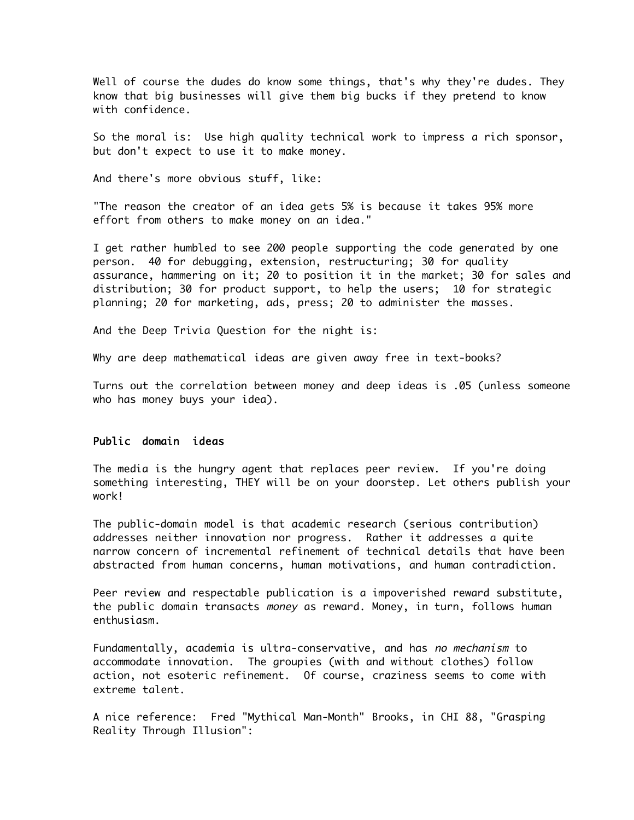Well of course the dudes do know some things, that's why they're dudes. They know that big businesses will give them big bucks if they pretend to know with confidence.

So the moral is: Use high quality technical work to impress a rich sponsor, but don't expect to use it to make money.

And there's more obvious stuff, like:

"The reason the creator of an idea gets 5% is because it takes 95% more effort from others to make money on an idea."

I get rather humbled to see 200 people supporting the code generated by one person. 40 for debugging, extension, restructuring; 30 for quality assurance, hammering on it; 20 to position it in the market; 30 for sales and distribution; 30 for product support, to help the users; 10 for strategic planning; 20 for marketing, ads, press; 20 to administer the masses.

And the Deep Trivia Question for the night is:

Why are deep mathematical ideas are given away free in text-books?

Turns out the correlation between money and deep ideas is .05 (unless someone who has money buys your idea).

## Public domain ideas

The media is the hungry agent that replaces peer review. If you're doing something interesting, THEY will be on your doorstep. Let others publish your work!

The public-domain model is that academic research (serious contribution) addresses neither innovation nor progress. Rather it addresses a quite narrow concern of incremental refinement of technical details that have been abstracted from human concerns, human motivations, and human contradiction.

Peer review and respectable publication is a impoverished reward substitute, the public domain transacts money as reward. Money, in turn, follows human enthusiasm.

Fundamentally, academia is ultra-conservative, and has no mechanism to accommodate innovation. The groupies (with and without clothes) follow action, not esoteric refinement. Of course, craziness seems to come with extreme talent.

A nice reference: Fred "Mythical Man-Month" Brooks, in CHI 88, "Grasping Reality Through Illusion":